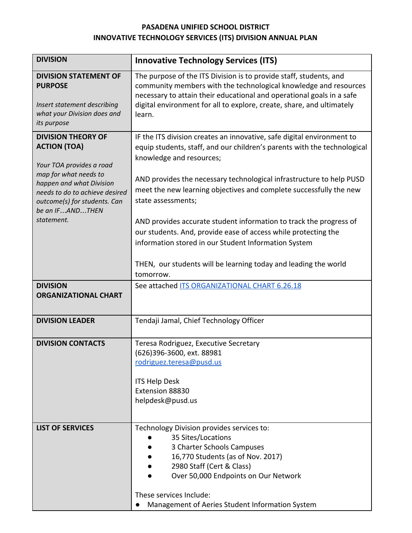## **PASADENA UNIFIED SCHOOL DISTRICT INNOVATIVE TECHNOLOGY SERVICES (ITS) DIVISION ANNUAL PLAN**

| <b>DIVISION</b>                                                                                                                                                                                                        | <b>Innovative Technology Services (ITS)</b>                                                                                                                                                                                                                                                                                                        |  |  |  |  |
|------------------------------------------------------------------------------------------------------------------------------------------------------------------------------------------------------------------------|----------------------------------------------------------------------------------------------------------------------------------------------------------------------------------------------------------------------------------------------------------------------------------------------------------------------------------------------------|--|--|--|--|
| <b>DIVISION STATEMENT OF</b><br><b>PURPOSE</b><br>Insert statement describing<br>what your Division does and<br>its purpose                                                                                            | The purpose of the ITS Division is to provide staff, students, and<br>community members with the technological knowledge and resources<br>necessary to attain their educational and operational goals in a safe<br>digital environment for all to explore, create, share, and ultimately<br>learn.                                                 |  |  |  |  |
| <b>DIVISION THEORY OF</b><br><b>ACTION (TOA)</b><br>Your TOA provides a road<br>map for what needs to<br>happen and what Division<br>needs to do to achieve desired<br>outcome(s) for students. Can<br>be an IFANDTHEN | IF the ITS division creates an innovative, safe digital environment to<br>equip students, staff, and our children's parents with the technological<br>knowledge and resources;<br>AND provides the necessary technological infrastructure to help PUSD<br>meet the new learning objectives and complete successfully the new<br>state assessments; |  |  |  |  |
| statement.                                                                                                                                                                                                             | AND provides accurate student information to track the progress of<br>our students. And, provide ease of access while protecting the<br>information stored in our Student Information System<br>THEN, our students will be learning today and leading the world<br>tomorrow.                                                                       |  |  |  |  |
| <b>DIVISION</b><br><b>ORGANIZATIONAL CHART</b>                                                                                                                                                                         | See attached ITS ORGANIZATIONAL CHART 6.26.18                                                                                                                                                                                                                                                                                                      |  |  |  |  |
| <b>DIVISION LEADER</b>                                                                                                                                                                                                 | Tendaji Jamal, Chief Technology Officer                                                                                                                                                                                                                                                                                                            |  |  |  |  |
| <b>DIVISION CONTACTS</b>                                                                                                                                                                                               | Teresa Rodriguez, Executive Secretary<br>(626)396-3600, ext. 88981<br>rodriguez.teresa@pusd.us<br><b>ITS Help Desk</b><br>Extension 88830<br>helpdesk@pusd.us                                                                                                                                                                                      |  |  |  |  |
| <b>LIST OF SERVICES</b>                                                                                                                                                                                                | Technology Division provides services to:<br>35 Sites/Locations<br>3 Charter Schools Campuses<br>16,770 Students (as of Nov. 2017)<br>2980 Staff (Cert & Class)<br>Over 50,000 Endpoints on Our Network<br>These services Include:<br>Management of Aeries Student Information System                                                              |  |  |  |  |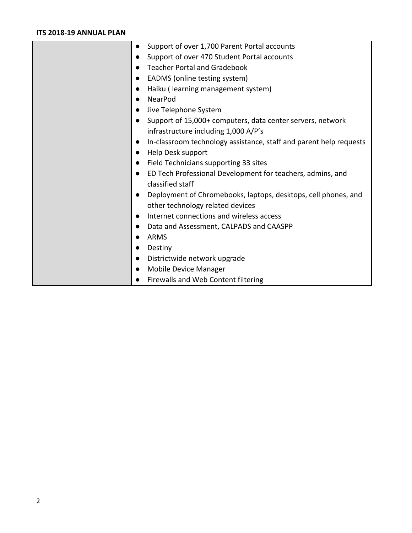### **ITS 2018-19 ANNUAL PLAN**

| $\bullet$ | Support of over 1,700 Parent Portal accounts                       |
|-----------|--------------------------------------------------------------------|
|           | Support of over 470 Student Portal accounts                        |
| $\bullet$ | <b>Teacher Portal and Gradebook</b>                                |
|           | EADMS (online testing system)                                      |
| $\bullet$ | Haiku (learning management system)                                 |
|           | NearPod                                                            |
|           | Jive Telephone System                                              |
|           | Support of 15,000+ computers, data center servers, network         |
|           | infrastructure including 1,000 A/P's                               |
|           | In-classroom technology assistance, staff and parent help requests |
|           | Help Desk support                                                  |
|           | Field Technicians supporting 33 sites                              |
|           | ED Tech Professional Development for teachers, admins, and         |
|           | classified staff                                                   |
|           | Deployment of Chromebooks, laptops, desktops, cell phones, and     |
|           | other technology related devices                                   |
|           | Internet connections and wireless access                           |
|           | Data and Assessment, CALPADS and CAASPP                            |
|           | <b>ARMS</b>                                                        |
|           | Destiny                                                            |
| $\bullet$ | Districtwide network upgrade                                       |
|           | <b>Mobile Device Manager</b>                                       |
|           | Firewalls and Web Content filtering                                |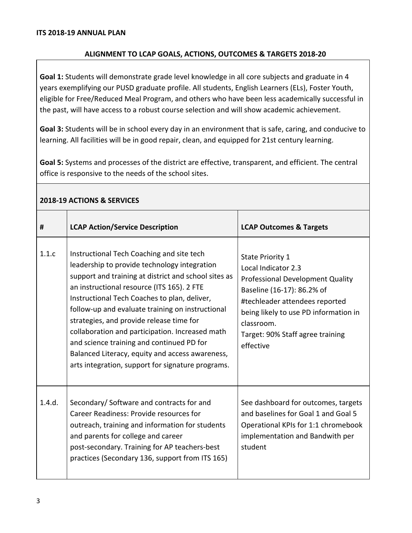### **ALIGNMENT TO LCAP GOALS, ACTIONS, OUTCOMES & TARGETS 2018-20**

**Goal 1:** Students will demonstrate grade level knowledge in all core subjects and graduate in 4 years exemplifying our PUSD graduate profile. All students, English Learners (ELs), Foster Youth, eligible for Free/Reduced Meal Program, and others who have been less academically successful in the past, will have access to a robust course selection and will show academic achievement.

**Goal 3:** Students will be in school every day in an environment that is safe, caring, and conducive to learning. All facilities will be in good repair, clean, and equipped for 21st century learning.

**Goal 5:** Systems and processes of the district are effective, transparent, and efficient. The central office is responsive to the needs of the school sites.

| #      | <b>LCAP Action/Service Description</b>                                                                                                                                                                                                                                                                                                                                                                                                                                                                                                                  | <b>LCAP Outcomes &amp; Targets</b>                                                                                                                                                                                                                                |
|--------|---------------------------------------------------------------------------------------------------------------------------------------------------------------------------------------------------------------------------------------------------------------------------------------------------------------------------------------------------------------------------------------------------------------------------------------------------------------------------------------------------------------------------------------------------------|-------------------------------------------------------------------------------------------------------------------------------------------------------------------------------------------------------------------------------------------------------------------|
| 1.1.c  | Instructional Tech Coaching and site tech<br>leadership to provide technology integration<br>support and training at district and school sites as<br>an instructional resource (ITS 165). 2 FTE<br>Instructional Tech Coaches to plan, deliver,<br>follow-up and evaluate training on instructional<br>strategies, and provide release time for<br>collaboration and participation. Increased math<br>and science training and continued PD for<br>Balanced Literacy, equity and access awareness,<br>arts integration, support for signature programs. | <b>State Priority 1</b><br>Local Indicator 2.3<br><b>Professional Development Quality</b><br>Baseline (16-17): 86.2% of<br>#techleader attendees reported<br>being likely to use PD information in<br>classroom.<br>Target: 90% Staff agree training<br>effective |
| 1.4.d. | Secondary/Software and contracts for and<br>Career Readiness: Provide resources for<br>outreach, training and information for students<br>and parents for college and career<br>post-secondary. Training for AP teachers-best<br>practices (Secondary 136, support from ITS 165)                                                                                                                                                                                                                                                                        | See dashboard for outcomes, targets<br>and baselines for Goal 1 and Goal 5<br>Operational KPIs for 1:1 chromebook<br>implementation and Bandwith per<br>student                                                                                                   |

#### **2018-19 ACTIONS & SERVICES**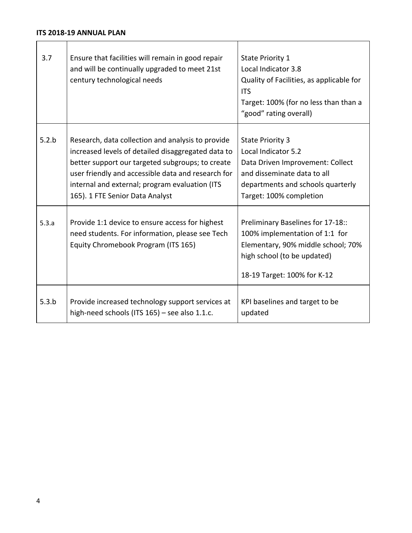| 3.7   | Ensure that facilities will remain in good repair<br>and will be continually upgraded to meet 21st<br>century technological needs                                                                                                                                                                      | <b>State Priority 1</b><br>Local Indicator 3.8<br>Quality of Facilities, as applicable for<br><b>ITS</b><br>Target: 100% (for no less than than a<br>"good" rating overall)       |
|-------|--------------------------------------------------------------------------------------------------------------------------------------------------------------------------------------------------------------------------------------------------------------------------------------------------------|-----------------------------------------------------------------------------------------------------------------------------------------------------------------------------------|
| 5.2.b | Research, data collection and analysis to provide<br>increased levels of detailed disaggregated data to<br>better support our targeted subgroups; to create<br>user friendly and accessible data and research for<br>internal and external; program evaluation (ITS<br>165). 1 FTE Senior Data Analyst | <b>State Priority 3</b><br>Local Indicator 5.2<br>Data Driven Improvement: Collect<br>and disseminate data to all<br>departments and schools quarterly<br>Target: 100% completion |
| 5.3.a | Provide 1:1 device to ensure access for highest<br>need students. For information, please see Tech<br>Equity Chromebook Program (ITS 165)                                                                                                                                                              | Preliminary Baselines for 17-18::<br>100% implementation of 1:1 for<br>Elementary, 90% middle school; 70%<br>high school (to be updated)<br>18-19 Target: 100% for K-12           |
| 5.3.b | Provide increased technology support services at<br>high-need schools (ITS 165) - see also 1.1.c.                                                                                                                                                                                                      | KPI baselines and target to be<br>updated                                                                                                                                         |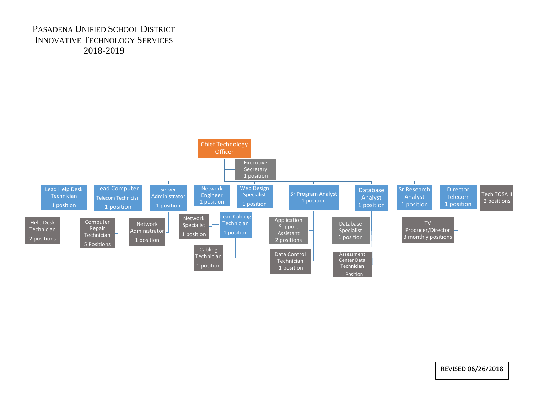# PASADENA UNIFIED SCHOOL DISTRICT INNOVATIVE TECHNOLOGY SERVICES 2018-2019



REVISED 06/26/2018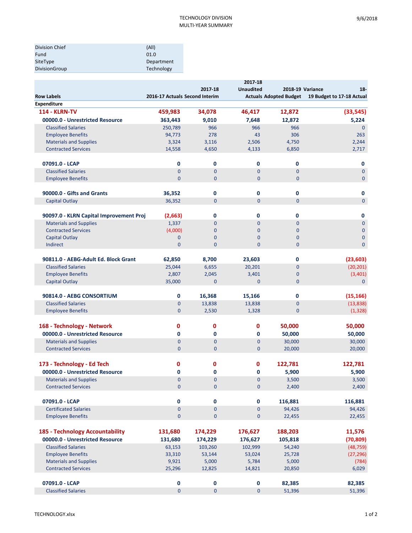| Division Chief | (A  )      |
|----------------|------------|
| Fund           | 01.0       |
| SiteType       | Department |
| DivisionGroup  | Technology |

|                                         | 2017-18                        |                |                  |                               |                           |
|-----------------------------------------|--------------------------------|----------------|------------------|-------------------------------|---------------------------|
|                                         |                                | 2017-18        | <b>Unaudited</b> | 2018-19 Variance              | $18 -$                    |
| <b>Row Labels</b>                       | 2016-17 Actuals Second Interim |                |                  | <b>Actuals Adopted Budget</b> | 19 Budget to 17-18 Actual |
| <b>Expenditure</b>                      |                                |                |                  |                               |                           |
| <b>114 - KLRN-TV</b>                    | 459,983                        | 34,078         | 46,417           | 12,872                        | (33, 545)                 |
| 00000.0 - Unrestricted Resource         | 363,443                        | 9,010          | 7,648            | 12,872                        | 5,224                     |
| <b>Classified Salaries</b>              | 250,789                        | 966            | 966              | 966                           | $\mathbf 0$               |
| <b>Employee Benefits</b>                | 94,773                         | 278            | 43               | 306                           | 263                       |
| <b>Materials and Supplies</b>           | 3,324                          | 3,116          | 2,506            | 4,750                         | 2,244                     |
| <b>Contracted Services</b>              | 14,558                         | 4,650          | 4,133            | 6,850                         | 2,717                     |
|                                         |                                |                |                  |                               |                           |
| 07091.0 - LCAP                          | 0                              | 0              | 0                | 0                             | 0                         |
| <b>Classified Salaries</b>              | $\mathbf{0}$                   | 0              | $\overline{0}$   | $\mathbf{0}$                  | $\mathbf 0$               |
| <b>Employee Benefits</b>                | $\mathbf{0}$                   | $\mathbf{0}$   | $\mathbf 0$      | $\mathbf{0}$                  | $\mathbf{0}$              |
|                                         |                                |                |                  |                               |                           |
| 90000.0 - Gifts and Grants              | 36,352                         | 0              | 0                | 0                             | 0                         |
| <b>Capital Outlay</b>                   | 36,352                         | $\mathbf 0$    | $\mathbf 0$      | $\mathbf{0}$                  | $\overline{0}$            |
|                                         |                                |                |                  |                               |                           |
| 90097.0 - KLRN Capital Improvement Proj | (2,663)                        | $\mathbf 0$    | $\mathbf 0$      | 0                             | 0                         |
| <b>Materials and Supplies</b>           | 1,337                          | 0              | $\mathbf 0$      | $\mathbf{0}$                  | $\mathbf{0}$              |
| <b>Contracted Services</b>              | (4,000)                        | 0              | $\mathbf{0}$     | $\overline{0}$                | $\mathbf 0$               |
| <b>Capital Outlay</b>                   | $\mathbf{0}$                   | 0              | $\mathbf 0$      | $\mathbf{0}$                  | $\mathbf 0$               |
| Indirect                                | $\mathbf{0}$                   | $\overline{0}$ | $\overline{0}$   | $\overline{0}$                | $\overline{0}$            |
|                                         |                                |                |                  |                               |                           |
| 90811.0 - AEBG-Adult Ed. Block Grant    | 62,850                         | 8,700          | 23,603           | 0                             | (23, 603)                 |
| <b>Classified Salaries</b>              | 25,044                         | 6,655          | 20,201           | $\mathbf 0$                   | (20, 201)                 |
| <b>Employee Benefits</b>                | 2,807                          | 2,045          | 3,401            | 0                             | (3,401)                   |
| <b>Capital Outlay</b>                   | 35,000                         | $\overline{0}$ | $\mathbf{0}$     | $\mathbf{0}$                  | $\mathbf{0}$              |
|                                         |                                |                |                  |                               |                           |
| 90814.0 - AEBG CONSORTIUM               | 0                              | 16,368         | 15,166           | 0                             | (15, 166)                 |
| <b>Classified Salaries</b>              | $\mathbf 0$<br>$\mathbf 0$     | 13,838         | 13,838           | $\mathbf{0}$<br>$\mathbf{0}$  | (13, 838)                 |
| <b>Employee Benefits</b>                |                                | 2,530          | 1,328            |                               | (1, 328)                  |
| 168 - Technology - Network              | 0                              | 0              | 0                |                               |                           |
|                                         |                                |                |                  | 50,000                        | 50,000                    |
| 00000.0 - Unrestricted Resource         | 0                              | 0              | 0                | 50,000                        | 50,000                    |
| <b>Materials and Supplies</b>           | $\mathbf 0$                    | $\mathbf 0$    | 0                | 30,000                        | 30,000                    |
| <b>Contracted Services</b>              | $\mathbf{0}$                   | $\mathbf 0$    | $\mathbf 0$      | 20,000                        | 20,000                    |
|                                         |                                |                |                  |                               |                           |
| 173 - Technology - Ed Tech              | 0                              | 0              | 0                | 122,781                       | 122,781                   |
| 00000.0 - Unrestricted Resource         | 0                              | 0              | 0                | 5,900                         | 5,900                     |
| <b>Materials and Supplies</b>           | $\pmb{0}$                      | $\Omega$       | $\pmb{0}$        | 3,500                         | 3,500                     |
| <b>Contracted Services</b>              | $\pmb{0}$                      | 0              | 0                | 2,400                         | 2,400                     |
|                                         |                                |                |                  |                               |                           |
| 07091.0 - LCAP                          | 0                              | $\pmb{0}$      | 0                | 116,881                       | 116,881                   |
| <b>Certificated Salaries</b>            | $\pmb{0}$                      | 0              | $\pmb{0}$        | 94,426                        | 94,426                    |
| <b>Employee Benefits</b>                | $\mathbf 0$                    | $\mathbf 0$    | 0                | 22,455                        | 22,455                    |
|                                         |                                |                |                  |                               | 11,576                    |
| 185 - Technology Accountability         | 131,680                        | 174,229        | 176,627          | 188,203                       |                           |
| 00000.0 - Unrestricted Resource         | 131,680                        | 174,229        | 176,627          | 105,818                       | (70, 809)                 |
| <b>Classified Salaries</b>              | 63,153                         | 103,260        | 102,999          | 54,240                        | (48, 759)                 |
| <b>Employee Benefits</b>                | 33,310                         | 53,144         | 53,024           | 25,728                        | (27, 296)                 |
| <b>Materials and Supplies</b>           | 9,921                          | 5,000          | 5,784            | 5,000                         | (784)                     |
| <b>Contracted Services</b>              | 25,296                         | 12,825         | 14,821           | 20,850                        | 6,029                     |
| 07091.0 - LCAP                          |                                | $\mathbf 0$    | 0                |                               |                           |
| <b>Classified Salaries</b>              | 0<br>$\pmb{0}$                 | $\pmb{0}$      | $\pmb{0}$        | 82,385                        | 82,385                    |
|                                         |                                |                |                  | 51,396                        | 51,396                    |